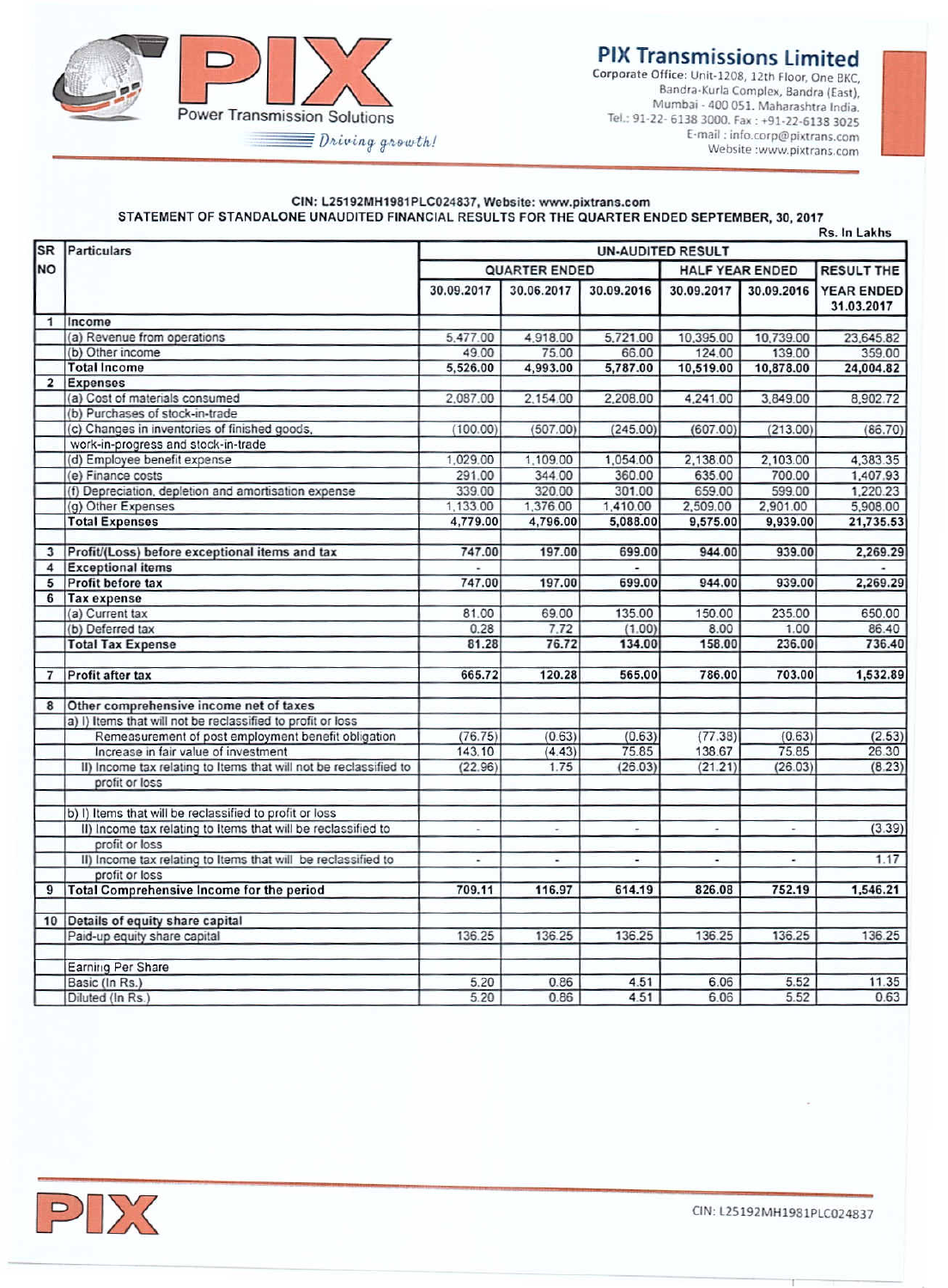

## **PIX Transmissions Limited**

Corporate Office: Unit-1208, 12th Floor, One BKC, Bandra-Kurla Complex, Bandra (East). Mumbai - 400 051. Maharashtra India. Tel.: 91-22- 6138 3000. Fax: +91-22-6138 3025 E·mail: [info.corp@pixtrans.cam](mailto:info.corp@pixtrans.cam) Website :www.pixtrans.com

#### CIN: L25192MH1981PLC024837, Website: www.pixtrans.com STATEMENT OF STANDALONE UNAUDITED FINANCIAL RESULTS FOR THE QUARTER ENDED SEPTEMBER, 30, 2017

|                |                                                                   |                          |                          |                          |                          |            | Rs. In Lakhs             |  |
|----------------|-------------------------------------------------------------------|--------------------------|--------------------------|--------------------------|--------------------------|------------|--------------------------|--|
| <b>SR</b>      | Particulars                                                       | <b>UN-AUDITED RESULT</b> |                          |                          |                          |            |                          |  |
| <b>NO</b>      |                                                                   | <b>QUARTER ENDED</b>     |                          |                          | <b>HALF YEAR ENDED</b>   |            | <b>RESULT THE</b>        |  |
|                |                                                                   | 30.09.2017               | 30.06.2017               | 30.09.2016               | 30.09.2017               | 30.09.2016 | YEAR ENDED<br>31.03.2017 |  |
| $\overline{1}$ | Income                                                            |                          |                          |                          |                          |            |                          |  |
|                | (a) Revenue from operations                                       | 5,477.00                 | 4,918.00                 | 5,721.00                 | 10,395.00                | 10,739.00  | 23,645.82                |  |
|                | (b) Other income                                                  | 49.00                    | 75.00                    | 66.00                    | 124.00                   | 139.00     | 359.00                   |  |
|                | <b>Total Income</b>                                               | 5,526.00                 | 4,993.00                 | 5,787.00                 | 10,519.00                | 10,878.00  | 24,004.82                |  |
| $\overline{2}$ | <b>Expenses</b>                                                   |                          |                          |                          |                          |            |                          |  |
|                | (a) Cost of materials consumed                                    | 2,087.00                 | 2,154.00                 | 2,208.00                 | 4,241.00                 | 3,849.00   | 8,902.72                 |  |
|                | (b) Purchases of stock-in-trade                                   |                          |                          |                          |                          |            |                          |  |
|                | (c) Changes in inventories of finished goods,                     | (100.00)                 | (507.00)                 | (245.00)                 | (607.00)                 | (213.00)   | (86.70)                  |  |
|                | work-in-progress and stock-in-trade                               |                          |                          |                          |                          |            |                          |  |
|                | (d) Employee benefit expense                                      | 1,029.00                 | 1,109.00                 | 1.054.00                 | 2,138.00                 | 2,103.00   | 4.383.35                 |  |
|                | (e) Finance costs                                                 | 291.00                   | 344.00                   | 360.00                   | 635.00                   | 700.00     | 1,407.93                 |  |
|                | (f) Depreciation, depletion and amortisation expense              | 339.00                   | 320.00                   | 301.00                   | 659.00                   | 599.00     | 1,220.23                 |  |
|                | (g) Other Expenses                                                | 1,133.00                 | 1,376.00                 | 1,410.00                 | 2,509.00                 | 2.901.00   | 5,908.00                 |  |
|                | <b>Total Expenses</b>                                             | 4,779.00                 | 4,796.00                 | 5,088.00                 | 9,575.00                 | 9,939.00   | 21,735.53                |  |
|                |                                                                   |                          |                          |                          |                          |            |                          |  |
| 3              | Profit/(Loss) before exceptional items and tax                    | 747.00                   | 197.00                   | 699.00                   | 944.00                   | 939.00     | 2,269.29                 |  |
| 4              | <b>Exceptional items</b>                                          |                          |                          |                          |                          |            |                          |  |
| 5              | Profit before tax                                                 | 747.00                   | 197.00                   | 699.00                   | 944.00                   | 939.00     | 2,269.29                 |  |
| 6              | <b>Tax expense</b>                                                |                          |                          |                          |                          |            |                          |  |
|                | (a) Current tax                                                   | 81.00                    | 69.00                    | 135.00                   | 150.00                   | 235.00     | 650.00                   |  |
|                | (b) Deferred tax                                                  | 0.28                     | 7.72                     | (1.00)                   | 8.00                     | 1.00       | 86.40                    |  |
|                | <b>Total Tax Expense</b>                                          | 81.28                    | 76.72                    | 134.00                   | 158.00                   | 236.00     | 736.40                   |  |
| $\overline{7}$ | Profit after tax                                                  | 665.72                   | 120.28                   | 565.00                   | 786.00                   | 703.00     | 1,532.89                 |  |
| 8              | Other comprehensive income net of taxes                           |                          |                          |                          |                          |            |                          |  |
|                | a) I) Items that will not be reclassified to profit or loss       |                          |                          |                          |                          |            |                          |  |
|                | Remeasurement of post employment benefit obligation               | (76.75)                  | (0.63)                   | (0.63)                   | (77.38)                  | (0.63)     | (2.53)                   |  |
|                | Increase in fair value of investment                              | 143.10                   | (4.43)                   | 75.85                    | 138.67                   | 75.85      | 26.30                    |  |
|                | II) Income tax relating to Items that will not be reclassified to | (22.96)                  | 1.75                     | (26.03)                  | (21.21)                  | (26.03)    | (8.23)                   |  |
|                | profit or loss                                                    |                          |                          |                          |                          |            |                          |  |
|                | b) I) Items that will be reclassified to profit or loss           |                          |                          |                          |                          |            |                          |  |
|                | II) Income tax relating to Items that will be reclassified to     | ÷.                       | $\overline{\phantom{a}}$ | $\overline{\phantom{a}}$ | $\overline{\phantom{a}}$ | $\sim$     | (3.39)                   |  |
|                | profit or loss                                                    |                          |                          |                          |                          |            |                          |  |
|                | II) Income tax relating to Items that will be reclassified to     | ×,                       | ٠                        | ٠                        | ×                        | ٠          | 1.17                     |  |
|                | profit or loss                                                    |                          |                          |                          |                          |            |                          |  |
| $\overline{9}$ | <b>Total Comprehensive Income for the period</b>                  | 709.11                   | 116.97                   | 614.19                   | 826.08                   | 752.19     | 1,546.21                 |  |
| 10             | Details of equity share capital                                   |                          |                          |                          |                          |            |                          |  |
|                | Paid-up equity share capital                                      | 136.25                   | 136.25                   | 136.25                   | 136.25                   | 136.25     | 136.25                   |  |
|                |                                                                   |                          |                          |                          |                          |            |                          |  |
|                | Earning Per Share                                                 |                          |                          |                          |                          |            |                          |  |
|                | Basic (In Rs.)                                                    | 5.20                     | 0.86                     | 4.51                     | 6.06                     | 5.52       | 11.35                    |  |
|                | Diluted (In Rs.)                                                  | 5.20                     | 0.86                     | 4.51                     | 6.06                     | 5.52       | 0.63                     |  |



ON: l2S192MH1981PlC024837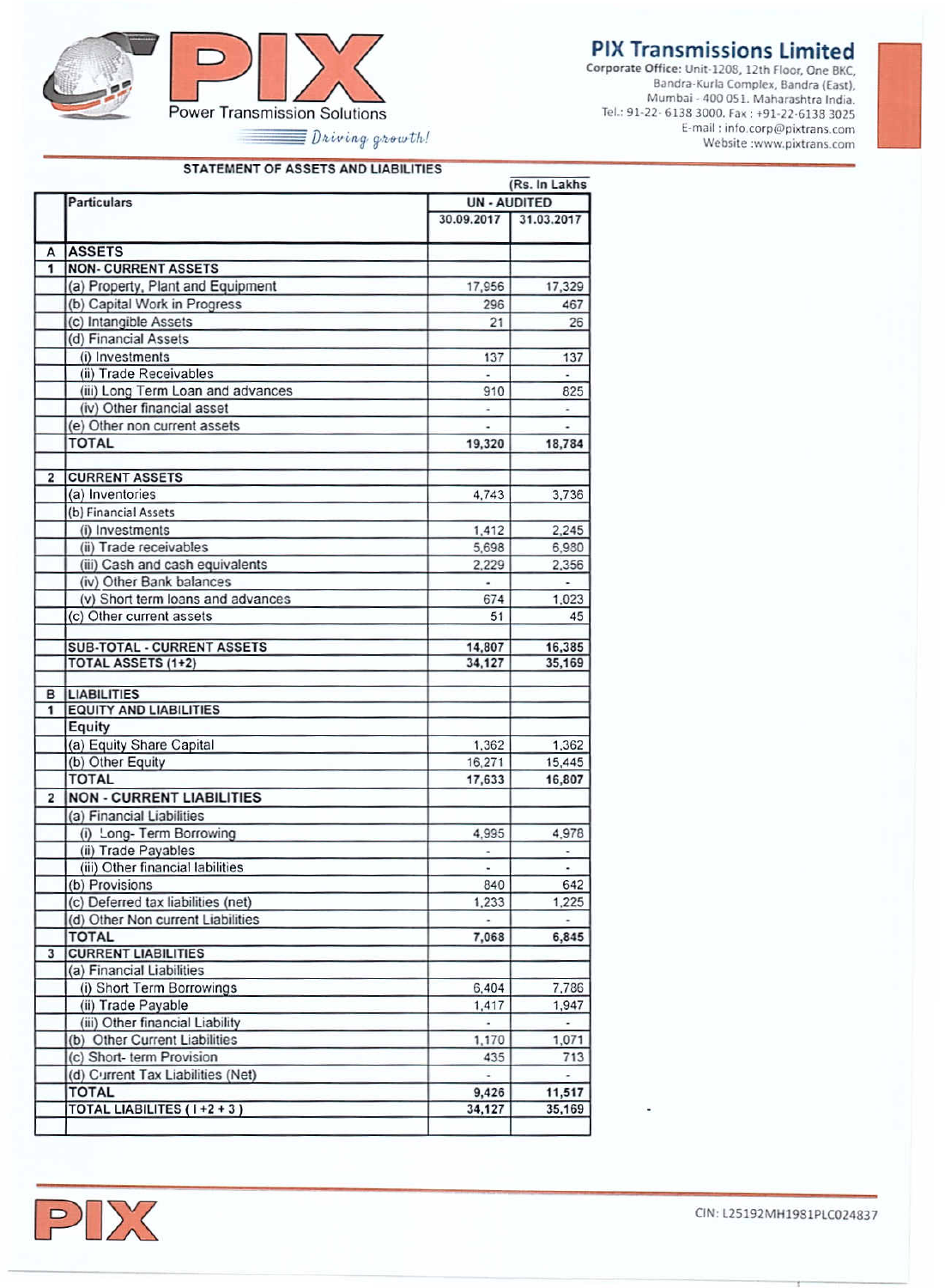## **PIX Transmissions Limited**

Corporate Office: Unit-1208, 12th Floor, One BKC, Bandra-Kurla Complex, Bandra (East). Dahura-Kuria Compiex, Janura (Casti), Mumbar - 400 031. Manarasnua mura.<br>Tel.: 91-22- 6138 3000. Fax : +91-22-6138 3025 E-mail: info.corp@pixtrans.com Website :www.pixtrans.com



 $\equiv$  Driving growth!

#### STATEMENT OF ASSETS AND LIABILITIES

|                         | Particulars                                           | <b>UN-AUDITED</b> |                          |
|-------------------------|-------------------------------------------------------|-------------------|--------------------------|
|                         |                                                       |                   |                          |
|                         |                                                       | 30.09.2017        | 31.03.2017               |
| A                       | <b>ASSETS</b>                                         |                   |                          |
| $\overline{1}$          | <b>NON- CURRENT ASSETS</b>                            |                   |                          |
|                         | (a) Property, Plant and Equipment                     | 17,956            | 17,329                   |
|                         | (b) Capital Work in Progress                          | 296               | 467                      |
|                         | (c) Intangible Assets                                 | 21                | 26                       |
|                         | (d) Financial Assets                                  |                   |                          |
|                         | (i) Investments                                       | 137               | 137                      |
|                         | (ii) Trade Receivables                                | ä,                | $\omega$                 |
|                         | (iii) Long Term Loan and advances                     | 910               | 825                      |
|                         | (iv) Other financial asset                            | ٠                 | ۰                        |
|                         | (e) Other non current assets                          | ł.                | ä,                       |
|                         | <b>TOTAL</b>                                          | 19,320            | 18,784                   |
|                         |                                                       |                   |                          |
| $\overline{2}$          | <b>CURRENT ASSETS</b>                                 |                   |                          |
|                         | (a) Inventories                                       | 4,743             | 3,736                    |
|                         | (b) Financial Assets                                  |                   |                          |
|                         | (i) Investments                                       | 1,412             | 2,245                    |
|                         | (ii) Trade receivables                                | 5,698             | 6,980                    |
|                         | (iii) Cash and cash equivalents                       | 2.229             | 2.356                    |
|                         | (iv) Other Bank balances                              | ÷                 | ÷                        |
|                         | (v) Short term loans and advances                     | 674               | 1,023                    |
|                         | (c) Other current assets                              | 51                | 45                       |
|                         | <b>SUB-TOTAL - CURRENT ASSETS</b>                     | 14,807            | 16,385                   |
|                         | <b>TOTAL ASSETS (1+2)</b>                             | 34,127            | 35,169                   |
|                         |                                                       |                   |                          |
| $\overline{1}$          | <b>B</b> LIABILITIES<br><b>EQUITY AND LIABILITIES</b> |                   |                          |
|                         | Equity                                                |                   |                          |
|                         | (a) Equity Share Capital                              |                   | 1,362                    |
|                         | (b) Other Equity                                      | 1,362<br>16,271   | 15,445                   |
|                         | <b>TOTAL</b>                                          | 17,633            | 16,807                   |
| $\overline{2}$          | <b>NON - CURRENT LIABILITIES</b>                      |                   |                          |
|                         | (a) Financial Liabilities                             |                   |                          |
|                         | (i) Long- Term Borrowing                              | 4.995             | 4,978                    |
|                         | (ii) Trade Payables                                   | ×.                | ×,                       |
|                         | (iii) Other financial labilities                      | ä,                | ÷.                       |
|                         | (b) Provisions                                        | 840               | 642                      |
|                         | (c) Deferred tax liabilities (net)                    | 1,233             | 1,225                    |
|                         | (d) Other Non current Liabilities                     |                   | $\overline{\phantom{a}}$ |
|                         | <b>TOTAL</b>                                          | 7,068             | 6,845                    |
| $\overline{\mathbf{3}}$ | <b>CURRENT LIABILITIES</b>                            |                   |                          |
|                         | (a) Financial Liabilities                             |                   |                          |
|                         | (i) Short Term Borrowings                             | 6,404             | 7,786                    |
|                         | (ii) Trade Payable                                    | 1,417             | 1,947                    |
|                         | (iii) Other financial Liability                       | ä,                | $\overline{\phantom{a}}$ |
|                         | (b) Other Current Liabilities                         | 1,170             | 1,071                    |
|                         | (c) Short- term Provision                             | 435               | 713                      |
|                         | (d) Current Tax Liabilities (Net)                     |                   |                          |
|                         |                                                       |                   |                          |
|                         | <b>TOTAL</b><br>TOTAL LIABILITES (1+2+3)              | 9,426<br>34,127   | 11,517<br>35,169         |



CIN: L25192MH1981PLC024837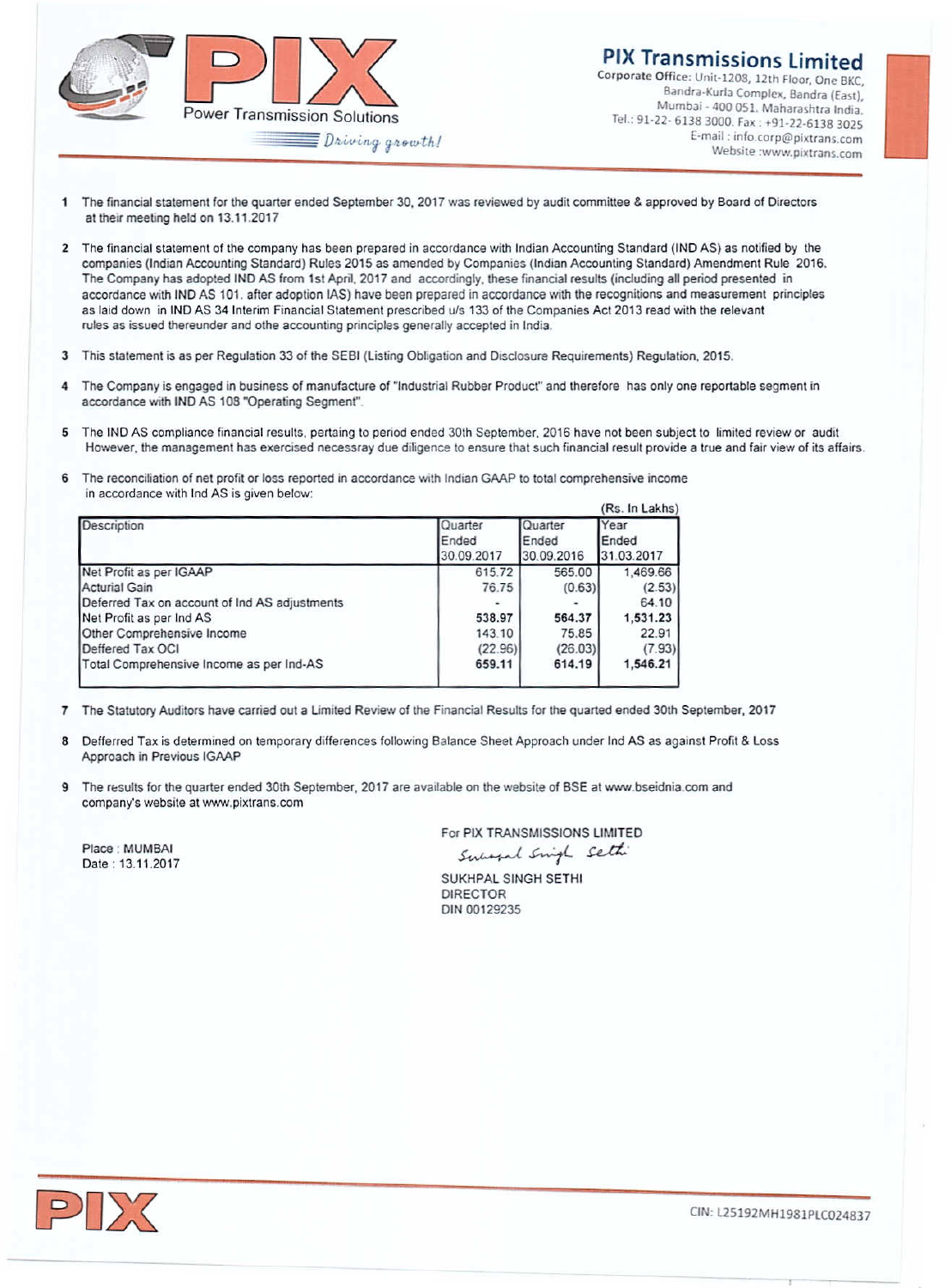

### PIX Transmissions limited

Corporate Office; Unit-120B, 121h Floor. *Onc* BKe, Bandra-Kurla Complex, Bandra (East), Mumbai - 400 051. Maharashtra India. Tel.: 91·22· Gl38 3000. Fax: +91-22-61383025 E-mail:info.corp@pixtrans.com Website :www.pixtrans.com

- The financial statement for the quarter ended September 30, 2017 was reviewed by audit committee & approved by Board of Directors at their meeting held on 13.11.2017
- 2 The financial statement of the company has been prepared in accordance with Indian Accounting Standard (IND AS) as notified by the companies (Indian Accounting Standard) Rules 2015 as amended by Companies (Indian Accounting Standard) Amendment Rule 2016. The Company has adopted INO AS from 1st April. 2017 and accordingly. these financial results (including all period presented in accordance with INO AS 101. after adopticn lAS) have been prepared in accordance WIth the recognitions and measurement principles as laid down in IND AS 34 Interim Financial Statement prescribed u/s 133 of the Companies Act 2013 read with the relevant rules as issued thereunder and olhe accounting principles generally accepted in India.
- 3 This statement is as per Regulation 33 of the SEBI (Listing Obligation and Disclosure Requirements) Regulation, 2015.
- 4 The Company is engaged in business of manufacture of "Industrial Rubber Product" and therefore has only one reportable segment in accordance with IND AS 108 "Operating Segment".
- 5 The IND AS compliance financial results, pertaing to period ended 30th September, 2016 have not been subject to limited review or audit However, the management has exercised necessray due diligence to ensure that such financial result provide a true and fair view of its affairs
- The reconciliation of net profit or loss reported in accordance with Indian GAAP to total comprehensive income in accordance with Ind AS is given below:

| Quarter<br>Ended<br>30.09.2017 | Ended   | Year<br>Ended<br>31.03.2017 |
|--------------------------------|---------|-----------------------------|
| 615.72                         | 565.00  | 1,469.66                    |
| 76.75                          | (0.63)  | (2.53)                      |
|                                |         | 64.10                       |
| 538.97                         | 564.37  | 1,531.23                    |
| 143.10                         | 75.85   | 22.91                       |
| (22.96)                        | (26.03) | (7.93)                      |
| 659.11                         | 614.19  | 1.546.21                    |
|                                |         | Quarter<br>30.09.2016       |

- 7 The Statutory Auditors have carried out a Limiled Review of the Financial Results for the quarted ended 30th September, 2017
- 8 Defferred Tax is determined on temporary differences following Balance Sheet Approach under Ind AS as against Profit & loss Approach in Previous lGAAP
- The results for the quarter ended 30th September, 2017 are available on the website of BSE at www.bseidnia.com and company's website at www.pixtrans.com

Place: MUMBAI Date: 13.11.2017 For PIX TRANSMISSIONS LIMITED *~~I.J:di'*

SUKHPAl SINGH SETHI DIRECTOR DIN 00129235



CIN: l25192MH1981PlC024837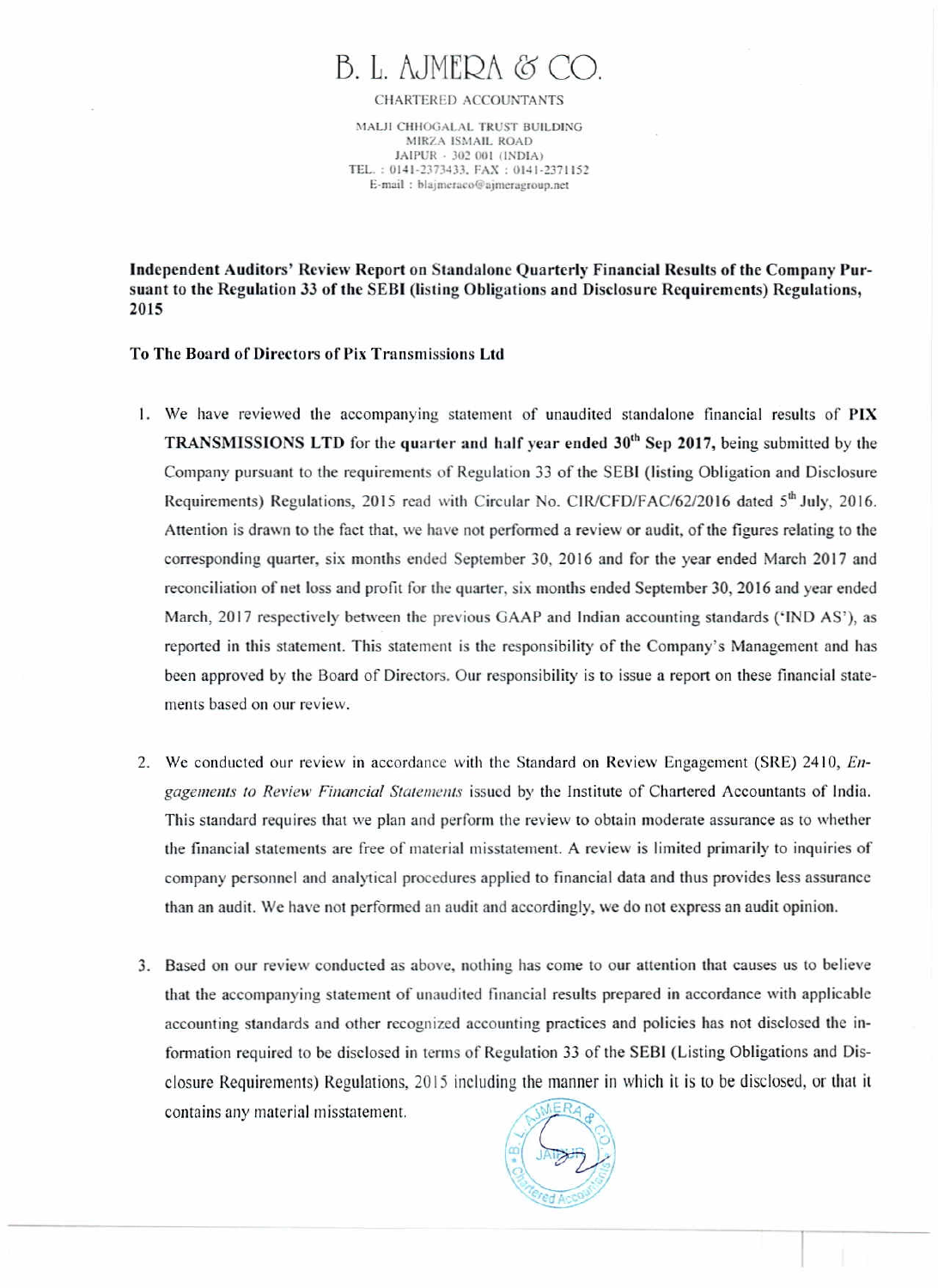# B. L. AJMEDA & CO

CHARTERED ACCOUNTANTS

MALJI CHHOGALAL TRUST BUILDING MIRZA ISMAIL ROAD JAIPUR - 302 001 (INDIA) TEL.: 0141-2373433, FAX: 0141-2371152 E-mail: blajmeraco@ajmeragroup.net

Independent Auditors' Review Report on Standalone Ouarterly Financial Results of the Company Pursuant to the Regulation 33 of the SEBI (listing Obligations and Disclosure Requirements) Regulations, 2015

#### To The Board of Directors of Pix Transmissions Ltd.

- 1. We have reviewed the accompanying statement of unaudited standalone financial results of PIX **TRANSMISSIONS LTD** for the quarter and half year ended  $30<sup>th</sup>$  Sep 2017, being submitted by the Company pursuant to the requirements of Regulation 33 of the SEBI (listing Obligation and Disclosure Requirements) Regulations, 2015 read with Circular No. CIR/CFD/FAC/62/2016 dated 5th July, 2016. Attention is drawn to the fact that, we have not performed a review or audit, of the figures relating to the corresponding quarter, six months ended September 30, 2016 and for the year ended March 2017 and reconciliation of net loss and profit for the quarter, six months ended September 30, 2016 and year ended March, 2017 respectively between the previous GAAP and Indian accounting standards ('IND AS'), as reported in this statement. This statement is the responsibility of the Company's Management and has been approved by the Board of Directors. Our responsibility is to issue a report on these financial statements based on our review.
- 2. We conducted our review in accordance with the Standard on Review Engagement (SRE) 2410, Engagements to Review Financial Statements issued by the Institute of Chartered Accountants of India. This standard requires that we plan and perform the review to obtain moderate assurance as to whether the financial statements are free of material misstatement. A review is limited primarily to inquiries of company personnel and analytical procedures applied to financial data and thus provides less assurance than an audit. We have not performed an audit and accordingly, we do not express an audit opinion.
- 3. Based on our review conducted as above, nothing has come to our attention that causes us to believe that the accompanying statement of unaudited financial results prepared in accordance with applicable accounting standards and other recognized accounting practices and policies has not disclosed the information required to be disclosed in terms of Regulation 33 of the SEBI (Listing Obligations and Disclosure Requirements) Regulations, 2015 including the manner in which it is to be disclosed, or that it contains any material misstatement.